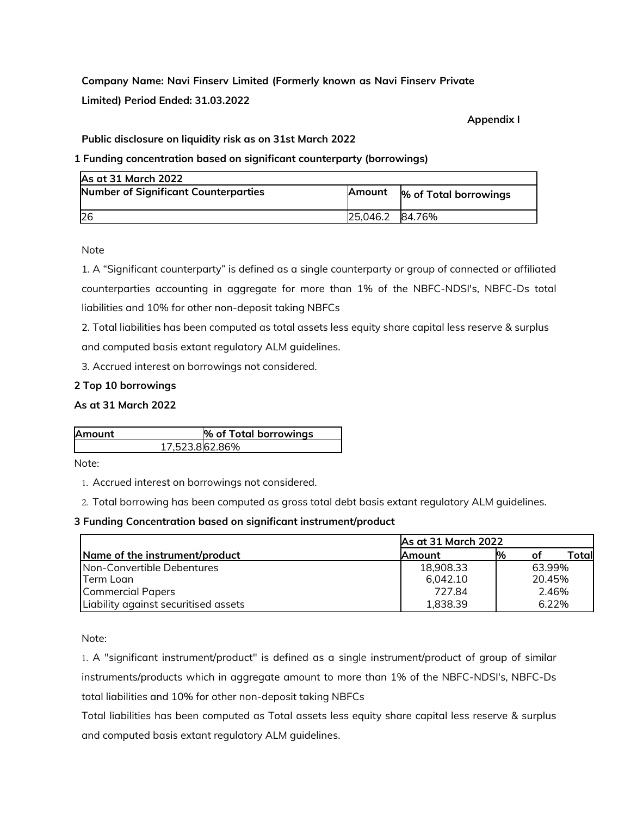**Company Name: Navi Finserv Limited (Formerly known as Navi Finserv Private Limited) Period Ended: 31.03.2022**

**Appendix I**

**Public disclosure on liquidity risk as on 31st March 2022**

**1 Funding concentration based on significant counterparty (borrowings)**

| <b>As at 31 March 2022</b>           |          |                       |
|--------------------------------------|----------|-----------------------|
| Number of Significant Counterparties | Amount   | % of Total borrowings |
| <b>26</b>                            | 25,046.2 | 84.76%                |

Note

1. A "Significant counterparty" is defined as a single counterparty or group of connected or affiliated counterparties accounting in aggregate for more than 1% of the NBFC-NDSI's, NBFC-Ds total liabilities and 10% for other non-deposit taking NBFCs

2. Total liabilities has been computed as total assets less equity share capital less reserve & surplus

and computed basis extant regulatory ALM guidelines.

3. Accrued interest on borrowings not considered.

# **2 Top 10 borrowings**

# **As at 31 March 2022**

| <b>Amount</b>  | % of Total borrowings |
|----------------|-----------------------|
| 17,523.862.86% |                       |

Note:

1. Accrued interest on borrowings not considered.

2. Total borrowing has been computed as gross total debt basis extant regulatory ALM guidelines.

## **3 Funding Concentration based on significant instrument/product**

|                                      | As at 31 March 2022 |       |        |        |
|--------------------------------------|---------------------|-------|--------|--------|
| Name of the instrument/product       | Amount              | %     | оf     | Totall |
| Non-Convertible Debentures           | 18,908.33           |       | 63.99% |        |
| Term Loan                            | 6.042.10            |       | 20.45% |        |
| <b>Commercial Papers</b>             | 727.84              | 2.46% |        |        |
| Liability against securitised assets | 1,838.39            | 6.22% |        |        |

Note:

1. A "significant instrument/product" is defined as a single instrument/product of group of similar instruments/products which in aggregate amount to more than 1% of the NBFC-NDSI's, NBFC-Ds total liabilities and 10% for other non-deposit taking NBFCs

Total liabilities has been computed as Total assets less equity share capital less reserve & surplus and computed basis extant regulatory ALM guidelines.